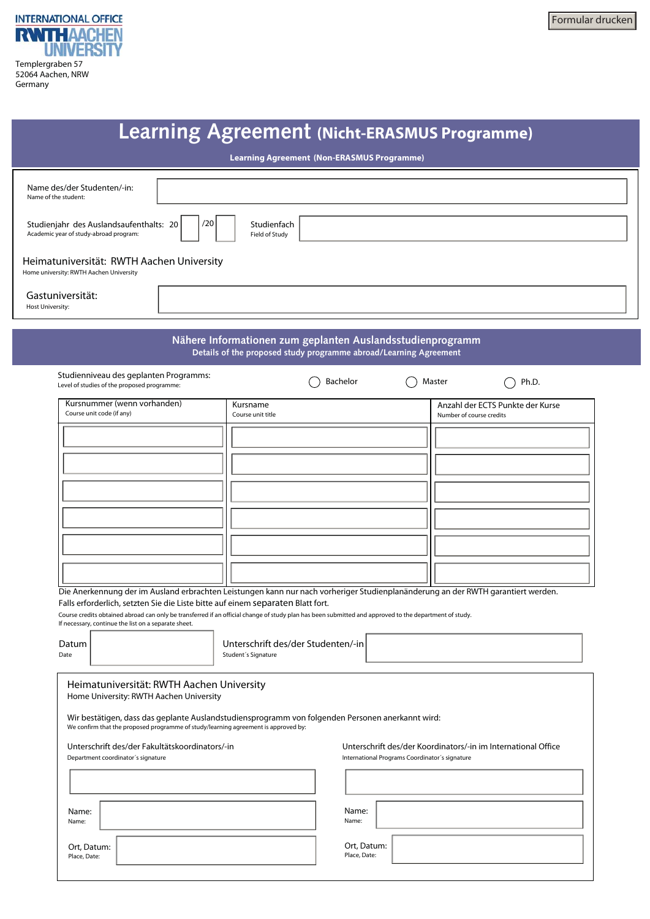

| <b>Learning Agreement (Nicht-ERASMUS Programme)</b><br>Learning Agreement (Non-ERASMUS Programme)                                                                                                                                                                                                                   |                                                                                                                                                                                                                                                      |                                                                                                                                                                                                  |  |  |  |  |
|---------------------------------------------------------------------------------------------------------------------------------------------------------------------------------------------------------------------------------------------------------------------------------------------------------------------|------------------------------------------------------------------------------------------------------------------------------------------------------------------------------------------------------------------------------------------------------|--------------------------------------------------------------------------------------------------------------------------------------------------------------------------------------------------|--|--|--|--|
|                                                                                                                                                                                                                                                                                                                     |                                                                                                                                                                                                                                                      |                                                                                                                                                                                                  |  |  |  |  |
|                                                                                                                                                                                                                                                                                                                     | Nähere Informationen zum geplanten Auslandsstudienprogramm<br>Details of the proposed study programme abroad/Learning Agreement                                                                                                                      |                                                                                                                                                                                                  |  |  |  |  |
| Studienniveau des geplanten Programms:<br>Level of studies of the proposed programme:                                                                                                                                                                                                                               | Bachelor                                                                                                                                                                                                                                             | Master<br>Ph.D.                                                                                                                                                                                  |  |  |  |  |
| Kursnummer (wenn vorhanden)<br>Course unit code (if any)<br>Falls erforderlich, setzten Sie die Liste bitte auf einem separaten Blatt fort.<br>If necessary, continue the list on a separate sheet.<br>Datum<br>Date                                                                                                | Kursname<br>Course unit title<br>Course credits obtained abroad can only be transferred if an official change of study plan has been submitted and approved to the department of study.<br>Unterschrift des/der Studenten/-in<br>Student's Signature | Anzahl der ECTS Punkte der Kurse<br>Number of course credits<br>Die Anerkennung der im Ausland erbrachten Leistungen kann nur nach vorheriger Studienplanänderung an der RWTH garantiert werden. |  |  |  |  |
| Heimatuniversität: RWTH Aachen University<br>Home University: RWTH Aachen University<br>We confirm that the proposed programme of study/learning agreement is approved by:<br>Unterschrift des/der Fakultätskoordinators/-in<br>Department coordinator's signature<br>Name:<br>Name:<br>Ort, Datum:<br>Place, Date: | Wir bestätigen, dass das geplante Auslandstudiensprogramm von folgenden Personen anerkannt wird:<br>Name:<br>Name:<br>Ort, Datum:<br>Place, Date:                                                                                                    | Unterschrift des/der Koordinators/-in im International Office<br>International Programs Coordinator's signature                                                                                  |  |  |  |  |